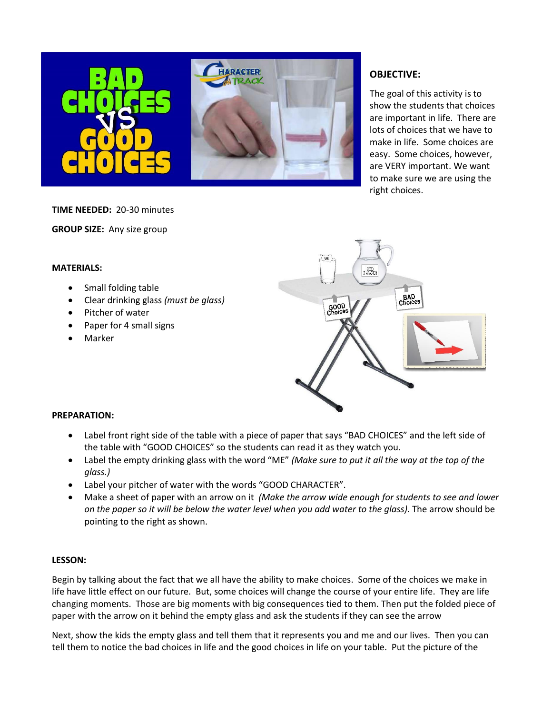

## **OBJECTIVE:**

The goal of this activity is to show the students that choices are important in life. There are lots of choices that we have to make in life. Some choices are easy. Some choices, however, are VERY important. We want to make sure we are using the right choices.

**TIME NEEDED:** 20-30 minutes

**GROUP SIZE:** Any size group

### **MATERIALS:**

- Small folding table
- Clear drinking glass *(must be glass)*
- Pitcher of water
- Paper for 4 small signs
- Marker



#### **PREPARATION:**

- Label front right side of the table with a piece of paper that says "BAD CHOICES" and the left side of the table with "GOOD CHOICES" so the students can read it as they watch you.
- Label the empty drinking glass with the word "ME" *(Make sure to put it all the way at the top of the glass.)*
- Label your pitcher of water with the words "GOOD CHARACTER".
- Make a sheet of paper with an arrow on it *(Make the arrow wide enough for students to see and lower on the paper so it will be below the water level when you add water to the glass).* The arrow should be pointing to the right as shown.

### **LESSON:**

Begin by talking about the fact that we all have the ability to make choices. Some of the choices we make in life have little effect on our future. But, some choices will change the course of your entire life. They are life changing moments. Those are big moments with big consequences tied to them. Then put the folded piece of paper with the arrow on it behind the empty glass and ask the students if they can see the arrow

Next, show the kids the empty glass and tell them that it represents you and me and our lives. Then you can tell them to notice the bad choices in life and the good choices in life on your table. Put the picture of the